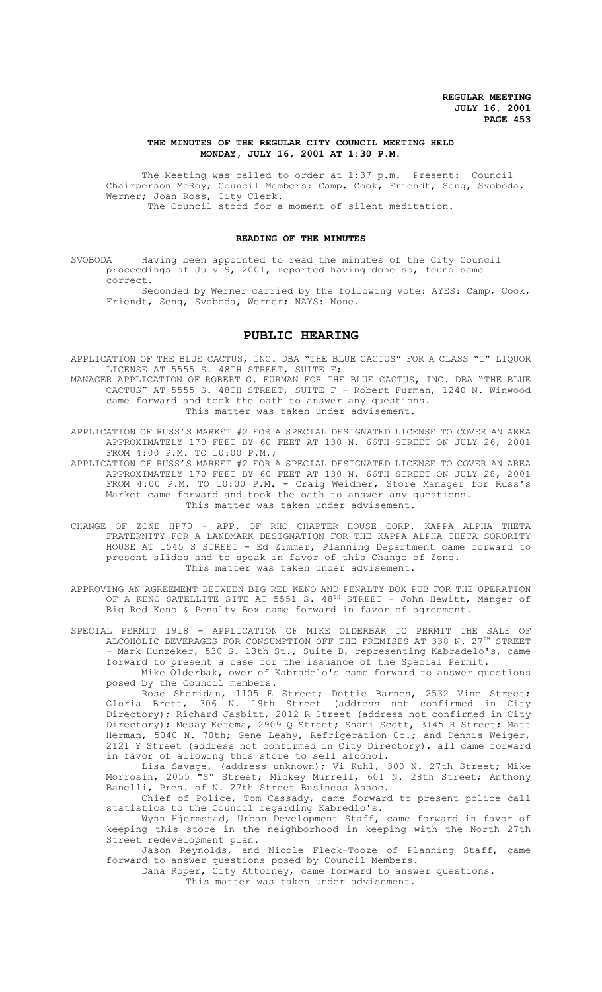### **THE MINUTES OF THE REGULAR CITY COUNCIL MEETING HELD MONDAY, JULY 16, 2001 AT 1:30 P.M.**

The Meeting was called to order at 1:37 p.m. Present: Council Chairperson McRoy; Council Members: Camp, Cook, Friendt, Seng, Svoboda, Werner; Joan Ross, City Clerk. The Council stood for a moment of silent meditation.

### **READING OF THE MINUTES**

SVOBODA Having been appointed to read the minutes of the City Council proceedings of July 9, 2001, reported having done so, found same correct.

Seconded by Werner carried by the following vote: AYES: Camp, Cook, Friendt, Seng, Svoboda, Werner; NAYS: None.

# **PUBLIC HEARING**

APPLICATION OF THE BLUE CACTUS, INC. DBA "THE BLUE CACTUS" FOR A CLASS "I" LIQUOR LICENSE AT 5555 S. 48TH STREET, SUITE F;

MANAGER APPLICATION OF ROBERT G. FURMAN FOR THE BLUE CACTUS, INC. DBA "THE BLUE CACTUS" AT 5555 S. 48TH STREET, SUITE F - Robert Furman, 1240 N. Winwood came forward and took the oath to answer any questions. This matter was taken under advisement.

APPLICATION OF RUSS'S MARKET #2 FOR A SPECIAL DESIGNATED LICENSE TO COVER AN AREA APPROXIMATELY 170 FEET BY 60 FEET AT 130 N. 66TH STREET ON JULY 26, 2001 FROM 4:00 P.M. TO 10:00 P.M.;

APPLICATION OF RUSS'S MARKET #2 FOR A SPECIAL DESIGNATED LICENSE TO COVER AN AREA APPROXIMATELY 170 FEET BY 60 FEET AT 130 N. 66TH STREET ON JULY 28, 2001 FROM 4:00 P.M. TO 10:00 P.M. - Craig Weidner, Store Manager for Russ's Market came forward and took the oath to answer any questions. This matter was taken under advisement.

CHANGE OF ZONE HP70 - APP. OF RHO CHAPTER HOUSE CORP. KAPPA ALPHA THETA FRATERNITY FOR A LANDMARK DESIGNATION FOR THE KAPPA ALPHA THETA SORORITY HOUSE AT 1545 S STREET - Ed Zimmer, Planning Department came forward to present slides and to speak in favor of this Change of Zone. This matter was taken under advisement.

APPROVING AN AGREEMENT BETWEEN BIG RED KENO AND PENALTY BOX PUB FOR THE OPERATION OF A KENO SATELLITE SITE AT 5551 S. 48<sup>TH</sup> STREET - John Hewitt, Manger of Big Red Keno & Penalty Box came forward in favor of agreement.

SPECIAL PERMIT 1918 - APPLICATION OF MIKE OLDERBAK TO PERMIT THE SALE OF ALCOHOLIC BEVERAGES FOR CONSUMPTION OFF THE PREMISES AT 338 N. 27<sup>TH</sup> STREET - Mark Hunzeker, 530 S. 13th St., Suite B, representing Kabradelo's, came forward to present a case for the issuance of the Special Permit.

Mike Olderbak, ower of Kabradelo's came forward to answer questions posed by the Council members.

Rose Sheridan, 1105 E Street; Dottie Barnes, 2532 Vine Street; Gloria Brett, 306 N. 19th Street (address not confirmed in City Directory); Richard Jasbitt, 2012 R Street (address not confirmed in City Directory); Mesay Ketema, 2909 Q Street; Shani Scott, 3145 R Street; Matt Herman, 5040 N. 70th; Gene Leahy, Refrigeration Co.; and Dennis Weiger, 2121 Y Street (address not confirmed in City Directory), all came forward in favor of allowing this store to sell alcohol.

Lisa Savage, (address unknown); Vi Kuhl, 300 N. 27th Street; Mike Morrosin, 2055 "S" Street; Mickey Murrell, 601 N. 28th Street; Anthony Banelli, Pres. of N. 27th Street Business Assoc.

Chief of Police, Tom Cassady, came forward to present police call statistics to the Council regarding Kabredlo's.

Wynn Hjermstad, Urban Development Staff, came forward in favor of keeping this store in the neighborhood in keeping with the North 27th Street redevelopment plan.

Jason Reynolds, and Nicole Fleck-Tooze of Planning Staff, came forward to answer questions posed by Council Members.

Dana Roper, City Attorney, came forward to answer questions.

This matter was taken under advisement.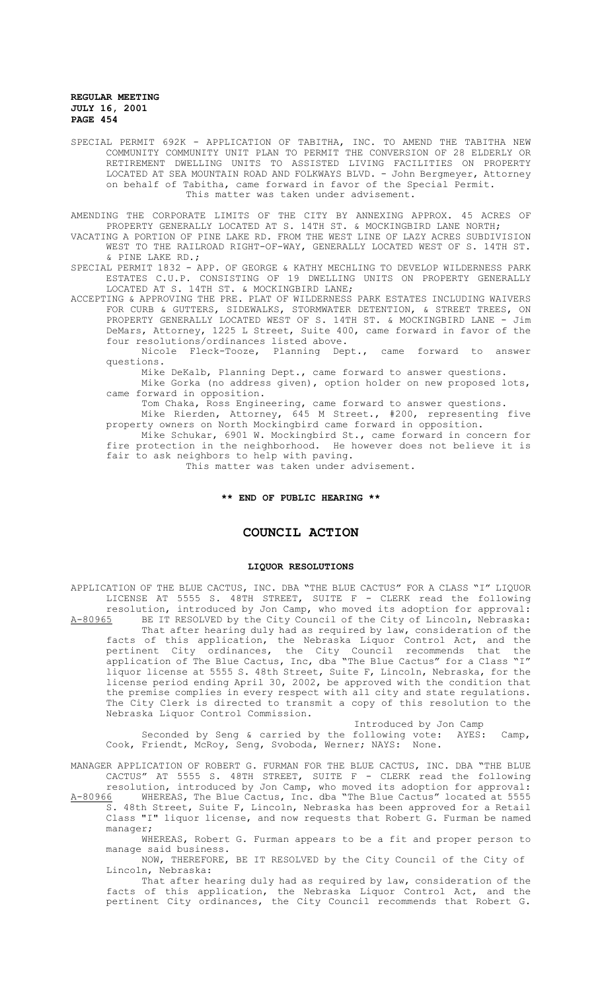SPECIAL PERMIT 692K - APPLICATION OF TABITHA, INC. TO AMEND THE TABITHA NEW COMMUNITY COMMUNITY UNIT PLAN TO PERMIT THE CONVERSION OF 28 ELDERLY OR RETIREMENT DWELLING UNITS TO ASSISTED LIVING FACILITIES ON PROPERTY LOCATED AT SEA MOUNTAIN ROAD AND FOLKWAYS BLVD. - John Bergmeyer, Attorney on behalf of Tabitha, came forward in favor of the Special Permit. This matter was taken under advisement.

AMENDING THE CORPORATE LIMITS OF THE CITY BY ANNEXING APPROX. 45 ACRES OF PROPERTY GENERALLY LOCATED AT S. 14TH ST. & MOCKINGBIRD LANE NORTH;

VACATING A PORTION OF PINE LAKE RD. FROM THE WEST LINE OF LAZY ACRES SUBDIVISION WEST TO THE RAILROAD RIGHT-OF-WAY, GENERALLY LOCATED WEST OF S. 14TH ST. & PINE LAKE RD.;

SPECIAL PERMIT 1832 - APP. OF GEORGE & KATHY MECHLING TO DEVELOP WILDERNESS PARK ESTATES C.U.P. CONSISTING OF 19 DWELLING UNITS ON PROPERTY GENERALLY LOCATED AT S. 14TH ST. & MOCKINGBIRD LANE;

ACCEPTING & APPROVING THE PRE. PLAT OF WILDERNESS PARK ESTATES INCLUDING WAIVERS FOR CURB & GUTTERS, SIDEWALKS, STORMWATER DETENTION, & STREET TREES, ON PROPERTY GENERALLY LOCATED WEST OF S. 14TH ST. & MOCKINGBIRD LANE - Jim DeMars, Attorney, 1225 L Street, Suite 400, came forward in favor of the four resolutions/ordinances listed above.

Nicole Fleck-Tooze, Planning Dept., came forward to answer questions.

Mike DeKalb, Planning Dept., came forward to answer questions.

Mike Gorka (no address given), option holder on new proposed lots, came forward in opposition.

Tom Chaka, Ross Engineering, came forward to answer questions.

Mike Rierden, Attorney, 645 M Street., #200, representing five property owners on North Mockingbird came forward in opposition.

Mike Schukar, 6901 W. Mockingbird St., came forward in concern for fire protection in the neighborhood. He however does not believe it is fair to ask neighbors to help with paving.

This matter was taken under advisement.

### **\*\* END OF PUBLIC HEARING \*\***

## **COUNCIL ACTION**

### **LIQUOR RESOLUTIONS**

APPLICATION OF THE BLUE CACTUS, INC. DBA "THE BLUE CACTUS" FOR A CLASS "I" LIQUOR LICENSE AT 5555 S. 48TH STREET, SUITE F - CLERK read the following resolution, introduced by Jon Camp, who moved its adoption for approval:<br>A-80965 BE IT RESOLVED by the City Council of the City of Lincoln, Nebraska: BE IT RESOLVED by the City Council of the City of Lincoln, Nebraska: That after hearing duly had as required by law, consideration of the facts of this application, the Nebraska Liquor Control Act, and the pertinent City ordinances, the City Council recommends that the application of The Blue Cactus, Inc, dba "The Blue Cactus" for a Class "I" liquor license at 5555 S. 48th Street, Suite F, Lincoln, Nebraska, for the license period ending April 30, 2002, be approved with the condition that the premise complies in every respect with all city and state regulations. The City Clerk is directed to transmit a copy of this resolution to the Nebraska Liquor Control Commission.

# Introduced by Jon Camp<br>following vote: AYES:

Seconded by Seng & carried by the following vote: AYES: Camp, Cook, Friendt, McRoy, Seng, Svoboda, Werner; NAYS: None.

MANAGER APPLICATION OF ROBERT G. FURMAN FOR THE BLUE CACTUS, INC. DBA "THE BLUE CACTUS" AT 5555 S. 48TH STREET, SUITE F - CLERK read the following resolution, introduced by Jon Camp, who moved its adoption for approval:

A-80966 MHEREAS, The Blue Cactus, Inc. dba "The Blue Cactus" located at 5555 S. 48th Street, Suite F, Lincoln, Nebraska has been approved for a Retail Class "I" liquor license, and now requests that Robert G. Furman be named manager;

WHEREAS, Robert G. Furman appears to be a fit and proper person to manage said business.

NOW, THEREFORE, BE IT RESOLVED by the City Council of the City of Lincoln, Nebraska:

That after hearing duly had as required by law, consideration of the facts of this application, the Nebraska Liquor Control Act, and the pertinent City ordinances, the City Council recommends that Robert G.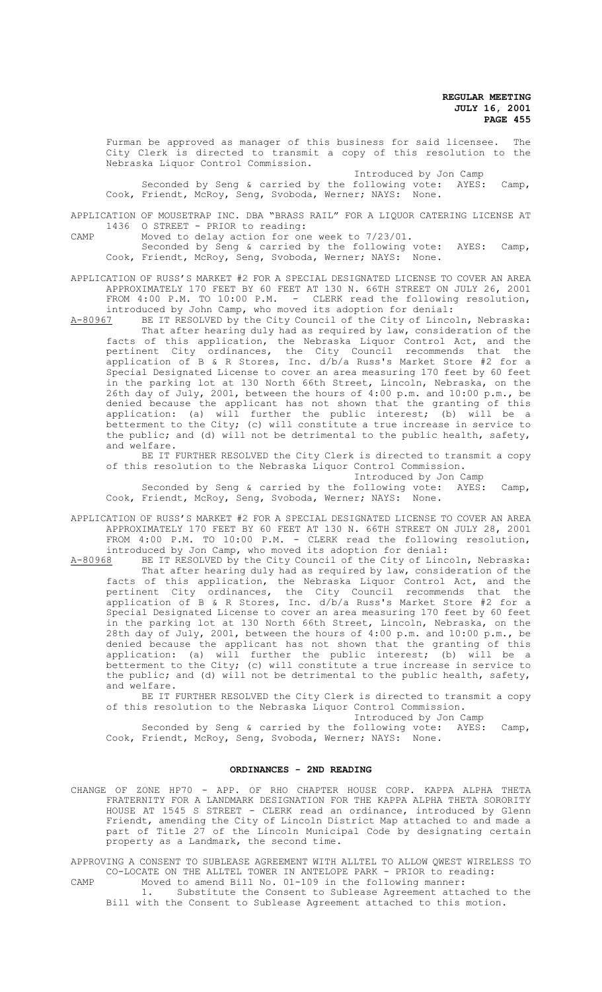Furman be approved as manager of this business for said licensee. The City Clerk is directed to transmit a copy of this resolution to the Nebraska Liquor Control Commission.

## Introduced by Jon Camp

Seconded by Seng & carried by the following vote: AYES: Camp, Cook, Friendt, McRoy, Seng, Svoboda, Werner; NAYS: None.

APPLICATION OF MOUSETRAP INC. DBA "BRASS RAIL" FOR A LIQUOR CATERING LICENSE AT 1436 O STREET - PRIOR to reading:

CAMP Moved to delay action for one week to 7/23/01.

Seconded by Seng & carried by the following vote: AYES: Camp, Cook, Friendt, McRoy, Seng, Svoboda, Werner; NAYS: None.

APPLICATION OF RUSS'S MARKET #2 FOR A SPECIAL DESIGNATED LICENSE TO COVER AN AREA APPROXIMATELY 170 FEET BY 60 FEET AT 130 N. 66TH STREET ON JULY 26, 2001 FROM 4:00 P.M. TO 10:00 P.M. - CLERK read the following resolution,

introduced by John Camp, who moved its adoption for denial:<br>A-80967 BE IT RESOLVED by the City Council of the City of Linco BE IT RESOLVED by the City Council of the City of Lincoln, Nebraska: That after hearing duly had as required by law, consideration of the

facts of this application, the Nebraska Liquor Control Act, and the pertinent City ordinances, the City Council recommends that the application of B & R Stores, Inc. d/b/a Russ's Market Store #2 for a Special Designated License to cover an area measuring 170 feet by 60 feet in the parking lot at 130 North 66th Street, Lincoln, Nebraska, on the 26th day of July, 2001, between the hours of 4:00 p.m. and 10:00 p.m., be denied because the applicant has not shown that the granting of this application: (a) will further the public interest; (b) will be a betterment to the City; (c) will constitute a true increase in service to the public; and (d) will not be detrimental to the public health, safety, and welfare.

BE IT FURTHER RESOLVED the City Clerk is directed to transmit a copy of this resolution to the Nebraska Liquor Control Commission.

Introduced by Jon Camp

Seconded by Seng & carried by the following vote: AYES: Camp, Cook, Friendt, McRoy, Seng, Svoboda, Werner; NAYS: None.

APPLICATION OF RUSS'S MARKET #2 FOR A SPECIAL DESIGNATED LICENSE TO COVER AN AREA APPROXIMATELY 170 FEET BY 60 FEET AT 130 N. 66TH STREET ON JULY 28, 2001 FROM 4:00 P.M. TO 10:00 P.M. - CLERK read the following resolution, introduced by Jon Camp, who moved its adoption for denial:

A-80968 BE IT RESOLVED by the City Council of the City of Lincoln, Nebraska: That after hearing duly had as required by law, consideration of the facts of this application, the Nebraska Liquor Control Act, and the pertinent City ordinances, the City Council recommends that the application of B & R Stores, Inc. d/b/a Russ's Market Store #2 for a Special Designated License to cover an area measuring 170 feet by 60 feet in the parking lot at 130 North 66th Street, Lincoln, Nebraska, on the 28th day of July, 2001, between the hours of 4:00 p.m. and 10:00 p.m., be denied because the applicant has not shown that the granting of this application: (a) will further the public interest; (b) will be a betterment to the City; (c) will constitute a true increase in service to the public; and (d) will not be detrimental to the public health, safety, and welfare.

BE IT FURTHER RESOLVED the City Clerk is directed to transmit a copy of this resolution to the Nebraska Liquor Control Commission.

Introduced by Jon Camp

Seconded by Seng & carried by the following vote: AYES: Camp, Cook, Friendt, McRoy, Seng, Svoboda, Werner; NAYS: None.

### **ORDINANCES - 2ND READING**

CHANGE OF ZONE HP70 - APP. OF RHO CHAPTER HOUSE CORP. KAPPA ALPHA THETA FRATERNITY FOR A LANDMARK DESIGNATION FOR THE KAPPA ALPHA THETA SORORITY HOUSE AT 1545 S STREET - CLERK read an ordinance, introduced by Glenn Friendt, amending the City of Lincoln District Map attached to and made a part of Title 27 of the Lincoln Municipal Code by designating certain property as a Landmark, the second time.

APPROVING A CONSENT TO SUBLEASE AGREEMENT WITH ALLTEL TO ALLOW QWEST WIRELESS TO CO-LOCATE ON THE ALLTEL TOWER IN ANTELOPE PARK - PRIOR to reading: CAMP Moved to amend Bill No. 01-109 in the following manner:

1. Substitute the Consent to Sublease Agreement attached to the Bill with the Consent to Sublease Agreement attached to this motion.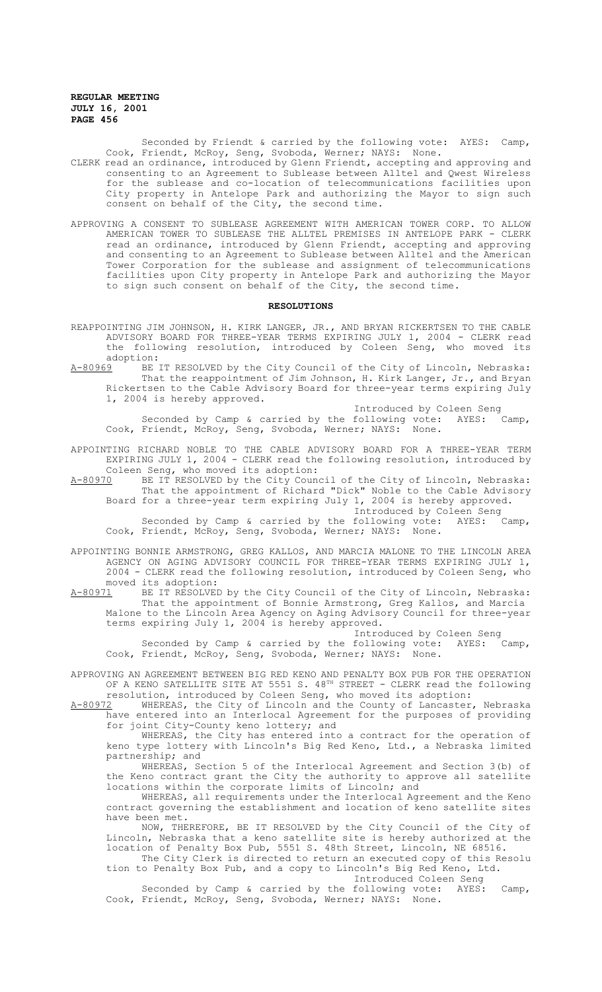> Seconded by Friendt & carried by the following vote: AYES: Camp, Cook, Friendt, McRoy, Seng, Svoboda, Werner; NAYS: None.

- CLERK read an ordinance, introduced by Glenn Friendt, accepting and approving and consenting to an Agreement to Sublease between Alltel and Qwest Wireless for the sublease and co-location of telecommunications facilities upon City property in Antelope Park and authorizing the Mayor to sign such consent on behalf of the City, the second time.
- APPROVING A CONSENT TO SUBLEASE AGREEMENT WITH AMERICAN TOWER CORP. TO ALLOW AMERICAN TOWER TO SUBLEASE THE ALLTEL PREMISES IN ANTELOPE PARK - CLERK read an ordinance, introduced by Glenn Friendt, accepting and approving and consenting to an Agreement to Sublease between Alltel and the American Tower Corporation for the sublease and assignment of telecommunications facilities upon City property in Antelope Park and authorizing the Mayor to sign such consent on behalf of the City, the second time.

#### **RESOLUTIONS**

- REAPPOINTING JIM JOHNSON, H. KIRK LANGER, JR., AND BRYAN RICKERTSEN TO THE CABLE ADVISORY BOARD FOR THREE-YEAR TERMS EXPIRING JULY 1, 2004 - CLERK read the following resolution, introduced by Coleen Seng, who moved its adoption:<br>A-80969 BE
- BE IT RESOLVED by the City Council of the City of Lincoln, Nebraska: That the reappointment of Jim Johnson, H. Kirk Langer, Jr., and Bryan Rickertsen to the Cable Advisory Board for three-year terms expiring July 1, 2004 is hereby approved.

Introduced by Coleen Seng

Seconded by Camp & carried by the following vote: AYES: Camp, Cook, Friendt, McRoy, Seng, Svoboda, Werner; NAYS: None.

- APPOINTING RICHARD NOBLE TO THE CABLE ADVISORY BOARD FOR A THREE-YEAR TERM EXPIRING JULY 1, 2004 - CLERK read the following resolution, introduced by
- Coleen Seng, who moved its adoption:<br>A-80970 BE IT RESOLVED by the City Coun BE IT RESOLVED by the City Council of the City of Lincoln, Nebraska: That the appointment of Richard "Dick" Noble to the Cable Advisory Board for a three-year term expiring July 1, 2004 is hereby approved. Introduced by Coleen Seng<br>following vote: AYES: Camp,

Seconded by Camp & carried by the following vote: AYES: Camp, Cook, Friendt, McRoy, Seng, Svoboda, Werner; NAYS: None.

- APPOINTING BONNIE ARMSTRONG, GREG KALLOS, AND MARCIA MALONE TO THE LINCOLN AREA AGENCY ON AGING ADVISORY COUNCIL FOR THREE-YEAR TERMS EXPIRING JULY 1, 2004 - CLERK read the following resolution, introduced by Coleen Seng, who moved its adoption:<br>A-80971 BE IT RESOLVEI
- BE IT RESOLVED by the City Council of the City of Lincoln, Nebraska: That the appointment of Bonnie Armstrong, Greg Kallos, and Marcia Malone to the Lincoln Area Agency on Aging Advisory Council for three-year terms expiring July 1, 2004 is hereby approved.

Introduced by Coleen Seng<br>following vote: AYES: Camp,

Seconded by Camp & carried by the following vote: AYES: Camp, Cook, Friendt, McRoy, Seng, Svoboda, Werner; NAYS: None.

APPROVING AN AGREEMENT BETWEEN BIG RED KENO AND PENALTY BOX PUB FOR THE OPERATION OF A KENO SATELLITE SITE AT 5551 S. 48TH STREET - CLERK read the following resolution, introduced by Coleen Seng, who moved its adoption:

A-80972 WHEREAS, the City of Lincoln and the County of Lancaster, Nebraska have entered into an Interlocal Agreement for the purposes of providing for joint City-County keno lottery; and

WHEREAS, the City has entered into a contract for the operation of keno type lottery with Lincoln's Big Red Keno, Ltd., a Nebraska limited partnership; and

WHEREAS, Section 5 of the Interlocal Agreement and Section 3(b) of the Keno contract grant the City the authority to approve all satellite locations within the corporate limits of Lincoln; and

WHEREAS, all requirements under the Interlocal Agreement and the Keno contract governing the establishment and location of keno satellite sites have been met.

NOW, THEREFORE, BE IT RESOLVED by the City Council of the City of Lincoln, Nebraska that a keno satellite site is hereby authorized at the location of Penalty Box Pub, 5551 S. 48th Street, Lincoln, NE 68516.

The City Clerk is directed to return an executed copy of this Resolu tion to Penalty Box Pub, and a copy to Lincoln's Big Red Keno, Ltd. Introduced Coleen Seng

Seconded by Camp & carried by the following vote: AYES: Camp, Cook, Friendt, McRoy, Seng, Svoboda, Werner; NAYS: None.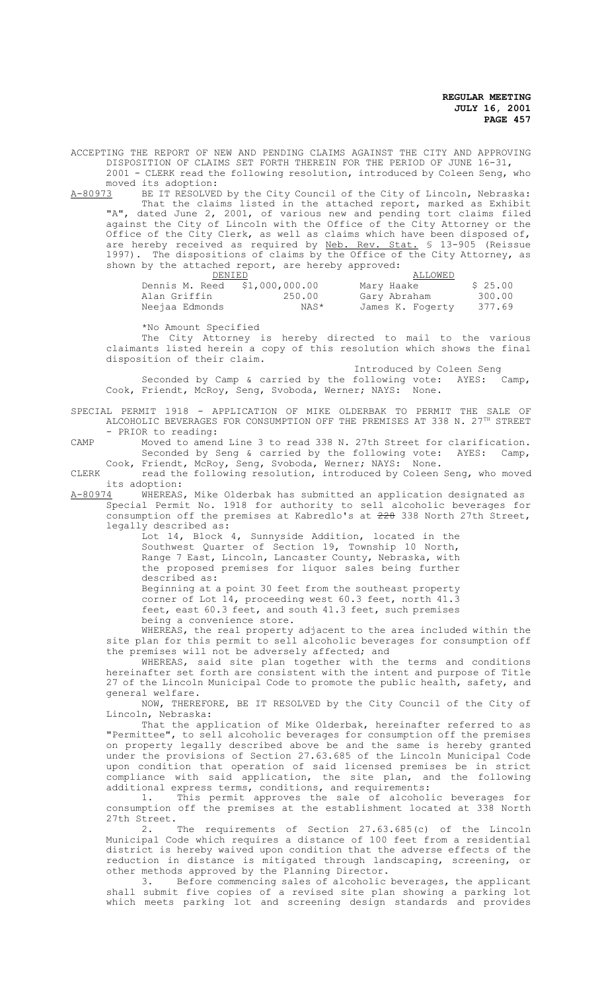ACCEPTING THE REPORT OF NEW AND PENDING CLAIMS AGAINST THE CITY AND APPROVING DISPOSITION OF CLAIMS SET FORTH THEREIN FOR THE PERIOD OF JUNE 16-31, 2001 - CLERK read the following resolution, introduced by Coleen Seng, who moved its adoption:<br>A-80973 BE IT RESOLVEI

A-80973 BE IT RESOLVED by the City Council of the City of Lincoln, Nebraska: That the claims listed in the attached report, marked as Exhibit "A", dated June 2, 2001, of various new and pending tort claims filed against the City of Lincoln with the Office of the City Attorney or the Office of the City Clerk, as well as claims which have been disposed of, are hereby received as required by Neb. Rev. Stat. § 13-905 (Reissue 1997). The dispositions of claims by the Office of the City Attorney, as shown by the attached report, are hereby approved:

| ________                      |        |                  |         |
|-------------------------------|--------|------------------|---------|
| DENIED                        |        | ALLOWED          |         |
| Dennis M. Reed \$1,000,000.00 |        | Mary Haake       | \$25.00 |
| Alan Griffin                  | 250.00 | Gary Abraham     | 300.00  |
| Neejaa Edmonds                | NAS*   | James K. Fogerty | 377.69  |

\*No Amount Specified

The City Attorney is hereby directed to mail to the various claimants listed herein a copy of this resolution which shows the final disposition of their claim.

Introduced by Coleen Seng Seconded by Camp & carried by the following vote: AYES: Camp, Cook, Friendt, McRoy, Seng, Svoboda, Werner; NAYS: None.

SPECIAL PERMIT 1918 - APPLICATION OF MIKE OLDERBAK TO PERMIT THE SALE OF ALCOHOLIC BEVERAGES FOR CONSUMPTION OFF THE PREMISES AT 338 N.  $27^{\text{th}}$  STREET - PRIOR to reading:

CAMP Moved to amend Line 3 to read 338 N. 27th Street for clarification. Seconded by Seng & carried by the following vote: AYES: Camp, Cook, Friendt, McRoy, Seng, Svoboda, Werner; NAYS: None.

CLERK read the following resolution, introduced by Coleen Seng, who moved its adoption:<br>A-80974 WHEREAS

WHEREAS, Mike Olderbak has submitted an application designated as Special Permit No. 1918 for authority to sell alcoholic beverages for consumption off the premises at Kabredlo's at 228 338 North 27th Street,

legally described as: Lot 14, Block 4, Sunnyside Addition, located in the Southwest Quarter of Section 19, Township 10 North, Range 7 East, Lincoln, Lancaster County, Nebraska, with the proposed premises for liquor sales being further described as:

Beginning at a point 30 feet from the southeast property corner of Lot 14, proceeding west 60.3 feet, north 41.3 feet, east 60.3 feet, and south 41.3 feet, such premises being a convenience store.

WHEREAS, the real property adjacent to the area included within the site plan for this permit to sell alcoholic beverages for consumption off the premises will not be adversely affected; and

WHEREAS, said site plan together with the terms and conditions hereinafter set forth are consistent with the intent and purpose of Title 27 of the Lincoln Municipal Code to promote the public health, safety, and general welfare.

NOW, THEREFORE, BE IT RESOLVED by the City Council of the City of Lincoln, Nebraska:

That the application of Mike Olderbak, hereinafter referred to as "Permittee", to sell alcoholic beverages for consumption off the premises on property legally described above be and the same is hereby granted under the provisions of Section 27.63.685 of the Lincoln Municipal Code upon condition that operation of said licensed premises be in strict compliance with said application, the site plan, and the following additional express terms, conditions, and requirements:

1. This permit approves the sale of alcoholic beverages for consumption off the premises at the establishment located at 338 North 27th  $\overline{\text{Street}}$ . The

requirements of Section 27.63.685(c) of the Lincoln Municipal Code which requires a distance of 100 feet from a residential district is hereby waived upon condition that the adverse effects of the reduction in distance is mitigated through landscaping, screening, or other methods approved by the Planning Director.

3. Before commencing sales of alcoholic beverages, the applicant shall submit five copies of a revised site plan showing a parking lot which meets parking lot and screening design standards and provides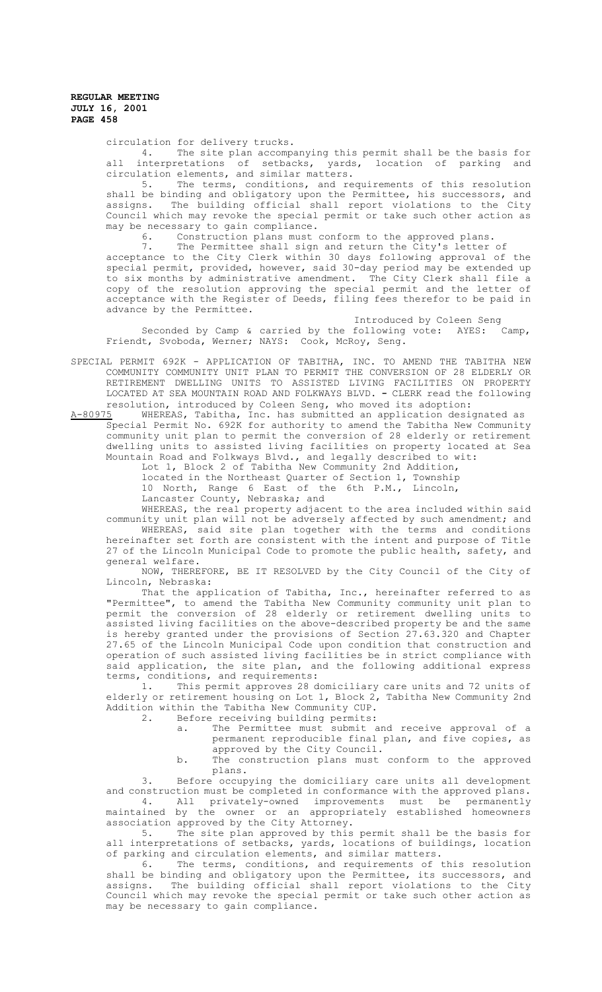circulation for delivery trucks.<br>4. The site plan accompa

The site plan accompanying this permit shall be the basis for all interpretations of setbacks, yards, location of parking and circulation elements, and similar matters.

5. The terms, conditions, and requirements of this resolution shall be binding and obligatory upon the Permittee, his successors, and assigns. The building official shall report violations to the City Council which may revoke the special permit or take such other action as may be necessary to gain compliance.

6. Construction plans must conform to the approved plans.<br>7. The Permittee shall sign and return the City's letter

The Permittee shall sign and return the City's letter of acceptance to the City Clerk within 30 days following approval of the special permit, provided, however, said 30-day period may be extended up to six months by administrative amendment. The City Clerk shall file a copy of the resolution approving the special permit and the letter of acceptance with the Register of Deeds, filing fees therefor to be paid in advance by the Permittee.

Introduced by Coleen Seng<br>following vote: AYES: Camp, Seconded by Camp & carried by the following vote: AYES: Camp, Friendt, Svoboda, Werner; NAYS: Cook, McRoy, Seng.

SPECIAL PERMIT 692K - APPLICATION OF TABITHA, INC. TO AMEND THE TABITHA NEW COMMUNITY COMMUNITY UNIT PLAN TO PERMIT THE CONVERSION OF 28 ELDERLY OR RETIREMENT DWELLING UNITS TO ASSISTED LIVING FACILITIES ON PROPERTY LOCATED AT SEA MOUNTAIN ROAD AND FOLKWAYS BLVD. **-** CLERK read the following resolution, introduced by Coleen Seng, who moved its adoption:

A-80975 MHEREAS, Tabitha, Inc. has submitted an application designated as Special Permit No. 692K for authority to amend the Tabitha New Community community unit plan to permit the conversion of 28 elderly or retirement dwelling units to assisted living facilities on property located at Sea Mountain Road and Folkways Blvd., and legally described to wit:

Lot 1, Block 2 of Tabitha New Community 2nd Addition,

located in the Northeast Quarter of Section 1, Township 10 North, Range 6 East of the 6th P.M., Lincoln, Lancaster County, Nebraska; and

WHEREAS, the real property adjacent to the area included within said community unit plan will not be adversely affected by such amendment; and WHEREAS, said site plan together with the terms and conditions hereinafter set forth are consistent with the intent and purpose of Title 27 of the Lincoln Municipal Code to promote the public health, safety, and general welfare.

NOW, THEREFORE, BE IT RESOLVED by the City Council of the City of Lincoln, Nebraska:

That the application of Tabitha, Inc., hereinafter referred to as "Permittee", to amend the Tabitha New Community community unit plan to permit the conversion of 28 elderly or retirement dwelling units to assisted living facilities on the above-described property be and the same is hereby granted under the provisions of Section 27.63.320 and Chapter 27.65 of the Lincoln Municipal Code upon condition that construction and operation of such assisted living facilities be in strict compliance with said application, the site plan, and the following additional express terms, conditions, and requirements:<br>1. This permit approves 28 d

This permit approves 28 domiciliary care units and 72 units of elderly or retirement housing on Lot 1, Block 2, Tabitha New Community 2nd Addition within the Tabitha New Community CUP.<br>2. Before receiving building permits:

2. Before receiving building permits:

a. The Permittee must submit and receive approval of a permanent reproducible final plan, and five copies, as approved by the City Council.

b. The construction plans must conform to the approved plans.

3. Before occupying the domiciliary care units all development and construction must be completed in conformance with the approved plans.

4. All privately-owned improvements must be permanently maintained by the owner or an appropriately established homeowners association approved by the City Attorney.

5. The site plan approved by this permit shall be the basis for all interpretations of setbacks, yards, locations of buildings, location of parking and circulation elements, and similar matters.

6. The terms, conditions, and requirements of this resolution shall be binding and obligatory upon the Permittee, its successors, and assigns. The building official shall report violations to the City Council which may revoke the special permit or take such other action as may be necessary to gain compliance.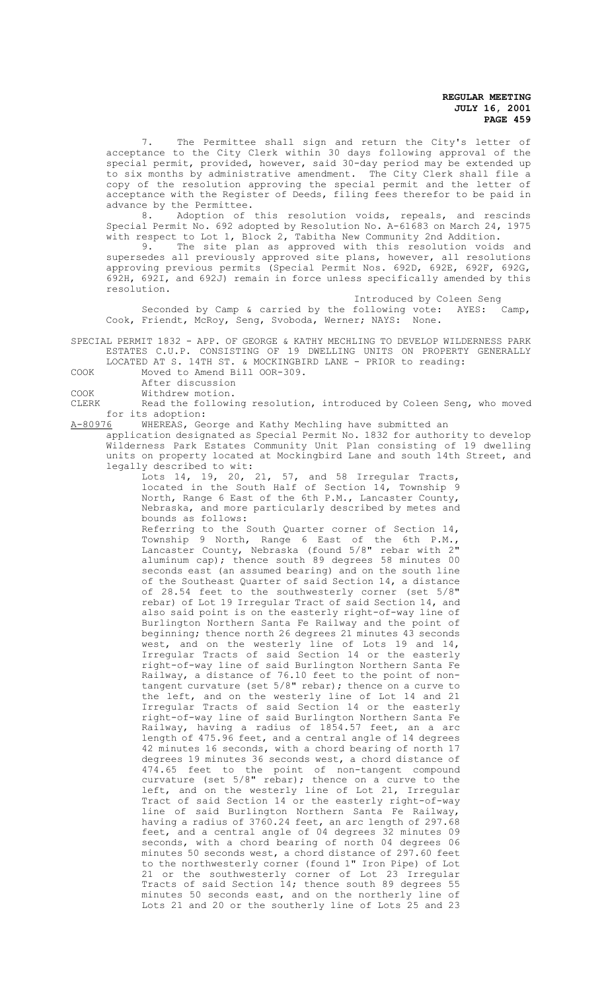7. The Permittee shall sign and return the City's letter of acceptance to the City Clerk within 30 days following approval of the special permit, provided, however, said 30-day period may be extended up to six months by administrative amendment. The City Clerk shall file a copy of the resolution approving the special permit and the letter of acceptance with the Register of Deeds, filing fees therefor to be paid in advance by the Permittee.<br>8. Adoption of

Adoption of this resolution voids, repeals, and rescinds Special Permit No. 692 adopted by Resolution No. A-61683 on March 24, 1975 with respect to Lot 1, Block 2, Tabitha New Community 2nd Addition.

9. The site plan as approved with this resolution voids and supersedes all previously approved site plans, however, all resolutions approving previous permits (Special Permit Nos. 692D, 692E, 692F, 692G, 692H, 692I, and 692J) remain in force unless specifically amended by this resolution.

Introduced by Coleen Seng

Seconded by Camp & carried by the following vote: AYES: Camp, Cook, Friendt, McRoy, Seng, Svoboda, Werner; NAYS: None.

SPECIAL PERMIT 1832 - APP. OF GEORGE & KATHY MECHLING TO DEVELOP WILDERNESS PARK ESTATES C.U.P. CONSISTING OF 19 DWELLING UNITS ON PROPERTY GENERALLY LOCATED AT S. 14TH ST. & MOCKINGBIRD LANE - PRIOR to reading:

COOK Moved to Amend Bill OOR-309.

After discussion

COOK Withdrew motion.<br>CLERK Read the followi

Read the following resolution, introduced by Coleen Seng, who moved for its adoption:<br>A-80976 WHEREAS, Geo

WHEREAS, George and Kathy Mechling have submitted an

application designated as Special Permit No. 1832 for authority to develop Wilderness Park Estates Community Unit Plan consisting of 19 dwelling units on property located at Mockingbird Lane and south 14th Street, and legally described to wit:

Lots 14, 19, 20, 21, 57, and 58 Irregular Tracts, located in the South Half of Section 14, Township 9 North, Range 6 East of the 6th P.M., Lancaster County, Nebraska, and more particularly described by metes and bounds as follows:

Referring to the South Quarter corner of Section 14, Township 9 North, Range 6 East of the 6th P.M., Lancaster County, Nebraska (found 5/8" rebar with 2" aluminum cap); thence south 89 degrees 58 minutes 00 seconds east (an assumed bearing) and on the south line of the Southeast Quarter of said Section 14, a distance of 28.54 feet to the southwesterly corner (set 5/8" rebar) of Lot 19 Irregular Tract of said Section 14, and also said point is on the easterly right-of-way line of Burlington Northern Santa Fe Railway and the point of beginning; thence north 26 degrees 21 minutes 43 seconds west, and on the westerly line of Lots 19 and 14, Irregular Tracts of said Section 14 or the easterly right-of-way line of said Burlington Northern Santa Fe Railway, a distance of 76.10 feet to the point of nontangent curvature (set 5/8" rebar); thence on a curve to the left, and on the westerly line of Lot 14 and 21 Irregular Tracts of said Section 14 or the easterly right-of-way line of said Burlington Northern Santa Fe Railway, having a radius of 1854.57 feet, an a arc length of 475.96 feet, and a central angle of 14 degrees 42 minutes 16 seconds, with a chord bearing of north 17 degrees 19 minutes 36 seconds west, a chord distance of 474.65 feet to the point of non-tangent compound curvature (set 5/8" rebar); thence on a curve to the left, and on the westerly line of Lot 21, Irregular Tract of said Section 14 or the easterly right-of-way line of said Burlington Northern Santa Fe Railway, having a radius of 3760.24 feet, an arc length of 297.68 feet, and a central angle of 04 degrees 32 minutes 09 seconds, with a chord bearing of north 04 degrees 06 minutes 50 seconds west, a chord distance of 297.60 feet to the northwesterly corner (found 1" Iron Pipe) of Lot 21 or the southwesterly corner of Lot 23 Irregular Tracts of said Section 14; thence south 89 degrees 55 minutes 50 seconds east, and on the northerly line of Lots 21 and 20 or the southerly line of Lots 25 and 23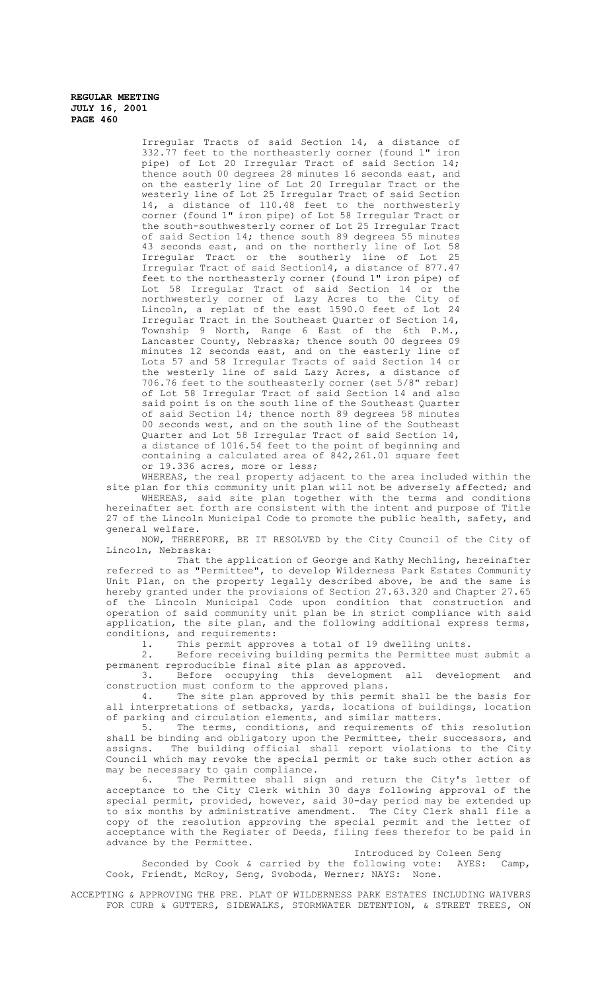Irregular Tracts of said Section 14, a distance of 332.77 feet to the northeasterly corner (found 1" iron pipe) of Lot 20 Irregular Tract of said Section 14; thence south 00 degrees 28 minutes 16 seconds east, and on the easterly line of Lot 20 Irregular Tract or the westerly line of Lot 25 Irregular Tract of said Section 14, a distance of 110.48 feet to the northwesterly corner (found 1" iron pipe) of Lot 58 Irregular Tract or the south-southwesterly corner of Lot 25 Irregular Tract of said Section 14; thence south 89 degrees 55 minutes 43 seconds east, and on the northerly line of Lot 58 Irregular Tract or the southerly line of Lot 25 Irregular Tract of said Section14, a distance of 877.47 feet to the northeasterly corner (found 1" iron pipe) of Lot 58 Irregular Tract of said Section 14 or the northwesterly corner of Lazy Acres to the City of Lincoln, a replat of the east 1590.0 feet of Lot 24 Irregular Tract in the Southeast Quarter of Section 14, Township 9 North, Range 6 East of the 6th P.M., Lancaster County, Nebraska; thence south 00 degrees 09 minutes 12 seconds east, and on the easterly line of Lots 57 and 58 Irregular Tracts of said Section 14 or the westerly line of said Lazy Acres, a distance of 706.76 feet to the southeasterly corner (set 5/8" rebar) of Lot 58 Irregular Tract of said Section 14 and also said point is on the south line of the Southeast Quarter of said Section 14; thence north 89 degrees 58 minutes 00 seconds west, and on the south line of the Southeast Quarter and Lot 58 Irregular Tract of said Section 14, a distance of 1016.54 feet to the point of beginning and containing a calculated area of 842,261.01 square feet or 19.336 acres, more or less;

WHEREAS, the real property adjacent to the area included within the site plan for this community unit plan will not be adversely affected; and

WHEREAS, said site plan together with the terms and conditions hereinafter set forth are consistent with the intent and purpose of Title 27 of the Lincoln Municipal Code to promote the public health, safety, and general welfare.

NOW, THEREFORE, BE IT RESOLVED by the City Council of the City of Lincoln, Nebraska:

That the application of George and Kathy Mechling, hereinafter referred to as "Permittee", to develop Wilderness Park Estates Community Unit Plan, on the property legally described above, be and the same is hereby granted under the provisions of Section 27.63.320 and Chapter 27.65 of the Lincoln Municipal Code upon condition that construction and operation of said community unit plan be in strict compliance with said application, the site plan, and the following additional express terms, conditions, and requirements:<br>1. This permit appro-

1. This permit approves a total of 19 dwelling units.<br>2. Before receiving building permits the Permittee mus

Before receiving building permits the Permittee must submit a permanent reproducible final site plan as approved.

3. Before occupying this development all development and construction must conform to the approved plans.<br>4. The site plan approved by this permi

The site plan approved by this permit shall be the basis for all interpretations of setbacks, yards, locations of buildings, location of parking and circulation elements, and similar matters.

5. The terms, conditions, and requirements of this resolution shall be binding and obligatory upon the Permittee, their successors, and assigns. The building official shall report violations to the City Council which may revoke the special permit or take such other action as may be necessary to gain compliance.

Permittee shall sign and return the City's letter of acceptance to the City Clerk within 30 days following approval of the special permit, provided, however, said 30-day period may be extended up to six months by administrative amendment. The City Clerk shall file a copy of the resolution approving the special permit and the letter of acceptance with the Register of Deeds, filing fees therefor to be paid in advance by the Permittee.

# Introduced by Coleen Seng<br>following vote: AYES: Camp,

Seconded by Cook & carried by the following vote: AYES: Camp, Cook, Friendt, McRoy, Seng, Svoboda, Werner; NAYS: None.

ACCEPTING & APPROVING THE PRE. PLAT OF WILDERNESS PARK ESTATES INCLUDING WAIVERS FOR CURB & GUTTERS, SIDEWALKS, STORMWATER DETENTION, & STREET TREES, ON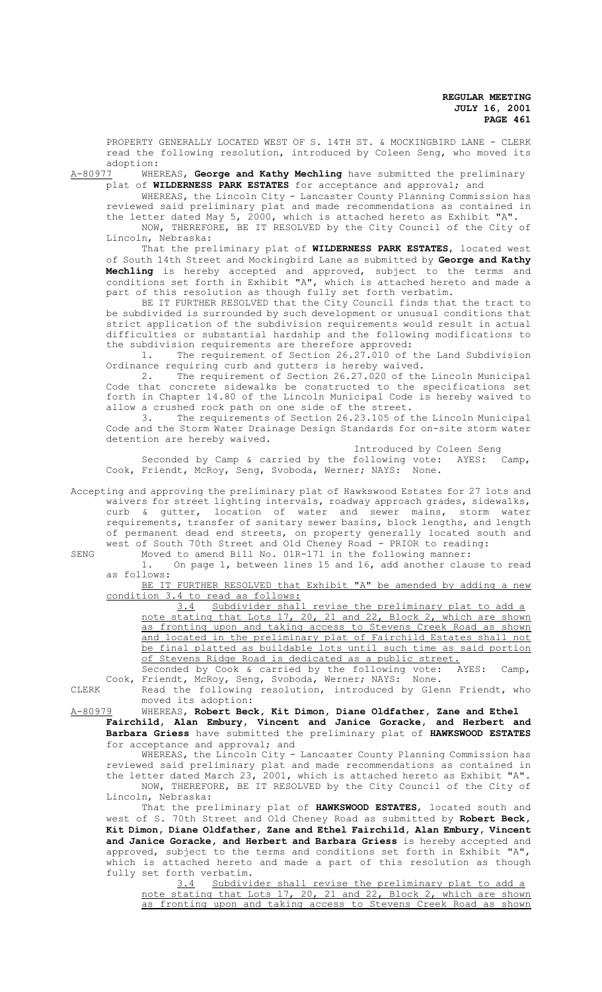PROPERTY GENERALLY LOCATED WEST OF S. 14TH ST. & MOCKINGBIRD LANE - CLERK read the following resolution, introduced by Coleen Seng, who moved its

adoption:<br>A-80977 WHE WHEREAS, George and Kathy Mechling have submitted the preliminary plat of **WILDERNESS PARK ESTATES** for acceptance and approval; and

WHEREAS, the Lincoln City - Lancaster County Planning Commission has reviewed said preliminary plat and made recommendations as contained in the letter dated May 5, 2000, which is attached hereto as Exhibit "A". NOW, THEREFORE, BE IT RESOLVED by the City Council of the City of Lincoln, Nebraska:

That the preliminary plat of **WILDERNESS PARK ESTATES**, located west of South 14th Street and Mockingbird Lane as submitted by **George and Kathy Mechling** is hereby accepted and approved, subject to the terms and conditions set forth in Exhibit "A", which is attached hereto and made a part of this resolution as though fully set forth verbatim.

BE IT FURTHER RESOLVED that the City Council finds that the tract to be subdivided is surrounded by such development or unusual conditions that strict application of the subdivision requirements would result in actual difficulties or substantial hardship and the following modifications to the subdivision requirements are therefore approved:

1. The requirement of Section 26.27.010 of the Land Subdivision Ordinance requiring curb and gutters is hereby waived.

2. The requirement of Section 26.27.020 of the Lincoln Municipal Code that concrete sidewalks be constructed to the specifications set forth in Chapter 14.80 of the Lincoln Municipal Code is hereby waived to allow a crushed rock path on one side of the street.

3. The requirements of Section 26.23.105 of the Lincoln Municipal Code and the Storm Water Drainage Design Standards for on-site storm water detention are hereby waived.

Introduced by Coleen Seng

Seconded by Camp & carried by the following vote: AYES: Camp, Cook, Friendt, McRoy, Seng, Svoboda, Werner; NAYS: None.

Accepting and approving the preliminary plat of Hawkswood Estates for 27 lots and waivers for street lighting intervals, roadway approach grades, sidewalks, curb & gutter, location of water and sewer mains, storm water requirements, transfer of sanitary sewer basins, block lengths, and length of permanent dead end streets, on property generally located south and west of South 70th Street and Old Cheney Road *-* PRIOR to reading:

SENG Moved to amend Bill No. 01R-171 in the following manner:

1. On page 1, between lines 15 and 16, add another clause to read as follows:

BE IT FURTHER RESOLVED that Exhibit "A" be amended by adding a new condition 3.4 to read as follows:<br>3.4 Subdivider shall

revise the preliminary plat to add a note stating that Lots 17, 20, 21 and 22, Block 2, which are shown as fronting upon and taking access to Stevens Creek Road as shown and located in the preliminary plat of Fairchild Estates shall not be final platted as buildable lots until such time as said portion of Stevens Ridge Road is dedicated as a public street.<br>Seconded by Cook & carried by the following vote: AYES: Camp,

Seconded by Cook & carried by the following vote: AYES: Camp, Cook, Friendt, McRoy, Seng, Svoboda, Werner; NAYS: None.

CLERK Read the following resolution, introduced by Glenn Friendt, who

moved its adoption:

A-80979 WHEREAS, **Robert Beck, Kit Dimon, Diane Oldfather, Zane and Ethel Fairchild, Alan Embury, Vincent and Janice Goracke, and Herbert and Barbara Griess** have submitted the preliminary plat of **HAWKSWOOD ESTATES** for acceptance and approval; and

WHEREAS, the Lincoln City - Lancaster County Planning Commission has reviewed said preliminary plat and made recommendations as contained in the letter dated March 23, 2001, which is attached hereto as Exhibit "A". NOW, THEREFORE, BE IT RESOLVED by the City Council of the City of Lincoln, Nebraska:

That the preliminary plat of **HAWKSWOOD ESTATES**, located south and west of S. 70th Street and Old Cheney Road as submitted by **Robert Beck, Kit Dimon, Diane Oldfather, Zane and Ethel Fairchild, Alan Embury, Vincent and Janice Goracke, and Herbert and Barbara Griess** is hereby accepted and approved, subject to the terms and conditions set forth in Exhibit "A", which is attached hereto and made a part of this resolution as though fully set forth verbatim.

3.4 Subdivider shall revise the preliminary plat to add a note stating that Lots 17, 20, 21 and 22, Block 2, which are shown as fronting upon and taking access to Stevens Creek Road as shown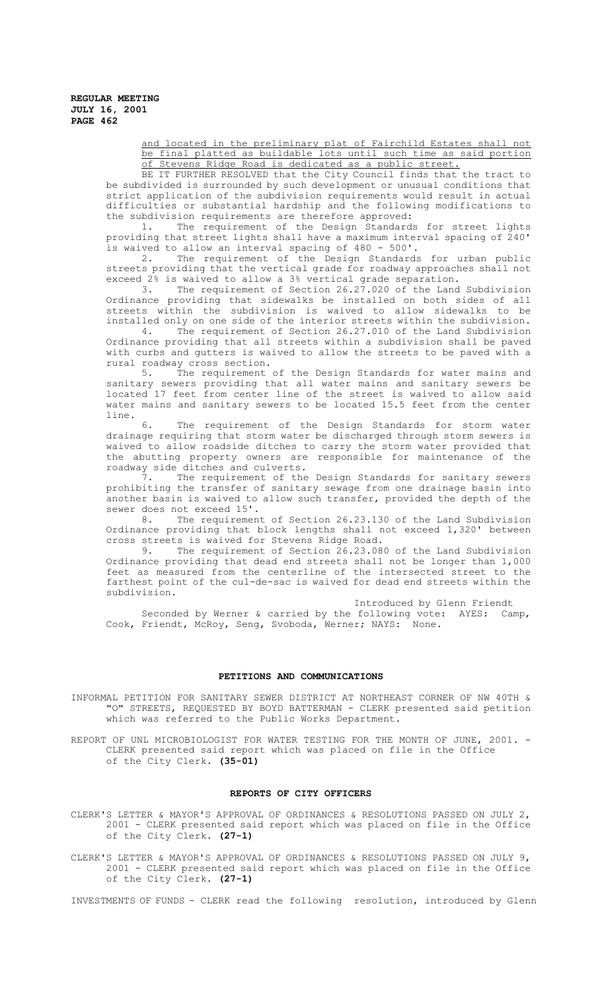> and located in the preliminary plat of Fairchild Estates shall not be final platted as buildable lots until such time as said portion of Stevens Ridge Road is dedicated as a public street.

BE IT FURTHER RESOLVED that the City Council finds that the tract to be subdivided is surrounded by such development or unusual conditions that strict application of the subdivision requirements would result in actual difficulties or substantial hardship and the following modifications to the subdivision requirements are therefore approved:<br>1. The requirement of the Design Standard:

The requirement of the Design Standards for street lights providing that street lights shall have a maximum interval spacing of 240' is waived to allow an interval spacing of 480 - 500'.

2. The requirement of the Design Standards for urban public streets providing that the vertical grade for roadway approaches shall not exceed 2% is waived to allow a 3% vertical grade separation.

3. The requirement of Section 26.27.020 of the Land Subdivision Ordinance providing that sidewalks be installed on both sides of all<br>streets within the subdivision is waived to allow sidewalks to be streets within the subdivision is waived to allow sidewalks installed only on one side of the interior streets within the subdivision.

4. The requirement of Section 26.27.010 of the Land Subdivision Ordinance providing that all streets within a subdivision shall be paved with curbs and gutters is waived to allow the streets to be paved with a rural roadway cross section.

5. The requirement of the Design Standards for water mains and sanitary sewers providing that all water mains and sanitary sewers be located 17 feet from center line of the street is waived to allow said water mains and sanitary sewers to be located 15.5 feet from the center line.

6. The requirement of the Design Standards for storm water drainage requiring that storm water be discharged through storm sewers is waived to allow roadside ditches to carry the storm water provided that the abutting property owners are responsible for maintenance of the roadway side ditches and culverts.

7. The requirement of the Design Standards for sanitary sewers prohibiting the transfer of sanitary sewage from one drainage basin into another basin is waived to allow such transfer, provided the depth of the sewer does not exceed 15'.<br>8. The requirement

The requirement of Section 26.23.130 of the Land Subdivision Ordinance providing that block lengths shall not exceed 1,320' between cross streets is waived for Stevens Ridge Road.

9. The requirement of Section 26.23.080 of the Land Subdivision Ordinance providing that dead end streets shall not be longer than 1,000 feet as measured from the centerline of the intersected street to the farthest point of the cul-de-sac is waived for dead end streets within the subdivision.

Introduced by Glenn Friendt Seconded by Werner & carried by the following vote: AYES: Camp, Cook, Friendt, McRoy, Seng, Svoboda, Werner; NAYS: None.

### **PETITIONS AND COMMUNICATIONS**

INFORMAL PETITION FOR SANITARY SEWER DISTRICT AT NORTHEAST CORNER OF NW 40TH & "O" STREETS, REQUESTED BY BOYD BATTERMAN - CLERK presented said petition which was referred to the Public Works Department.

REPORT OF UNL MICROBIOLOGIST FOR WATER TESTING FOR THE MONTH OF JUNE, 2001. -CLERK presented said report which was placed on file in the Office of the City Clerk. **(35-01)**

### **REPORTS OF CITY OFFICERS**

CLERK'S LETTER & MAYOR'S APPROVAL OF ORDINANCES & RESOLUTIONS PASSED ON JULY 2, 2001 - CLERK presented said report which was placed on file in the Office of the City Clerk. **(27-1)**

CLERK'S LETTER & MAYOR'S APPROVAL OF ORDINANCES & RESOLUTIONS PASSED ON JULY 9, 2001 - CLERK presented said report which was placed on file in the Office of the City Clerk. **(27-1)**

INVESTMENTS OF FUNDS - CLERK read the following resolution, introduced by Glenn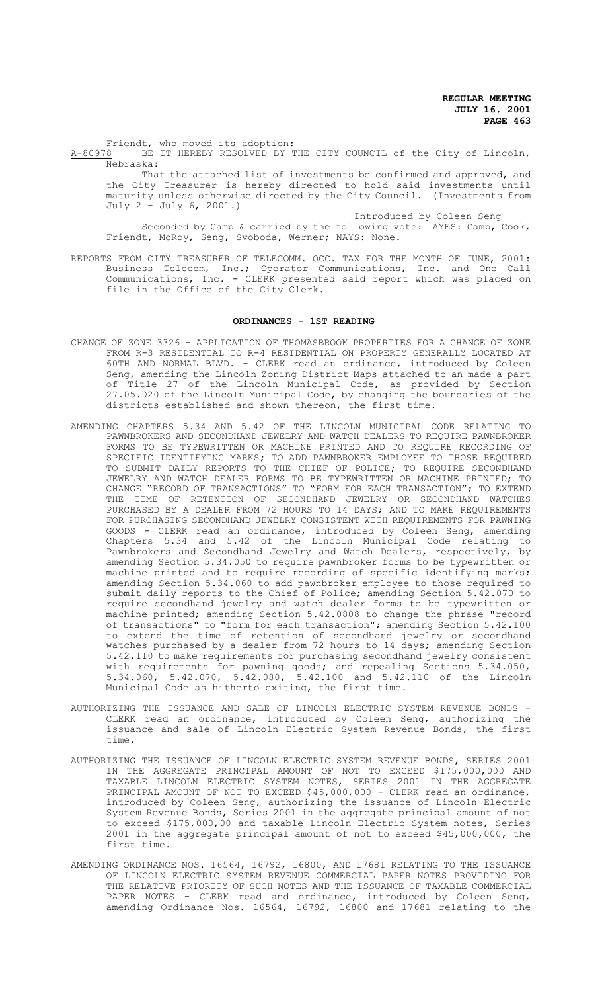Friendt, who moved its adoption: A-80978 BE IT HEREBY RESOLVED BY THE CITY COUNCIL of the City of Lincoln, Nebraska:

That the attached list of investments be confirmed and approved, and the City Treasurer is hereby directed to hold said investments until maturity unless otherwise directed by the City Council. (Investments from July 2 - July 6, 2001.)

Introduced by Coleen Seng

Seconded by Camp & carried by the following vote: AYES: Camp, Cook, Friendt, McRoy, Seng, Svoboda, Werner; NAYS: None.

REPORTS FROM CITY TREASURER OF TELECOMM. OCC. TAX FOR THE MONTH OF JUNE, 2001: Business Telecom, Inc.; Operator Communications, Inc. and One Call Communications, Inc. - CLERK presented said report which was placed on file in the Office of the City Clerk.

### **ORDINANCES - 1ST READING**

- CHANGE OF ZONE 3326 APPLICATION OF THOMASBROOK PROPERTIES FOR A CHANGE OF ZONE FROM R-3 RESIDENTIAL TO R-4 RESIDENTIAL ON PROPERTY GENERALLY LOCATED AT 60TH AND NORMAL BLVD. - CLERK read an ordinance, introduced by Coleen Seng, amending the Lincoln Zoning District Maps attached to an made a part of Title 27 of the Lincoln Municipal Code, as provided by Section 27.05.020 of the Lincoln Municipal Code, by changing the boundaries of the districts established and shown thereon, the first time.
- AMENDING CHAPTERS 5.34 AND 5.42 OF THE LINCOLN MUNICIPAL CODE RELATING TO PAWNBROKERS AND SECONDHAND JEWELRY AND WATCH DEALERS TO REQUIRE PAWNBROKER FORMS TO BE TYPEWRITTEN OR MACHINE PRINTED AND TO REQUIRE RECORDING OF SPECIFIC IDENTIFYING MARKS; TO ADD PAWNBROKER EMPLOYEE TO THOSE REQUIRED TO SUBMIT DAILY REPORTS TO THE CHIEF OF POLICE; TO REQUIRE SECONDHAND JEWELRY AND WATCH DEALER FORMS TO BE TYPEWRITTEN OR MACHINE PRINTED; TO CHANGE "RECORD OF TRANSACTIONS" TO "FORM FOR EACH TRANSACTION"; TO EXTEND THE TIME OF RETENTION OF SECONDHAND JEWELRY OR SECONDHAND WATCHES PURCHASED BY A DEALER FROM 72 HOURS TO 14 DAYS; AND TO MAKE REQUIREMENTS FOR PURCHASING SECONDHAND JEWELRY CONSISTENT WITH REQUIREMENTS FOR PAWNING GOODS - CLERK read an ordinance, introduced by Coleen Seng, amending Chapters 5.34 and 5.42 of the Lincoln Municipal Code relating to Pawnbrokers and Secondhand Jewelry and Watch Dealers, respectively, by amending Section 5.34.050 to require pawnbroker forms to be typewritten or machine printed and to require recording of specific identifying marks; amending Section 5.34.060 to add pawnbroker employee to those required to submit daily reports to the Chief of Police; amending Section 5.42.070 to require secondhand jewelry and watch dealer forms to be typewritten or machine printed; amending Section 5.42.0808 to change the phrase "record of transactions" to "form for each transaction"; amending Section 5.42.100 to extend the time of retention of secondhand jewelry or secondhand watches purchased by a dealer from 72 hours to 14 days; amending Section 5.42.110 to make requirements for purchasing secondhand jewelry consistent with requirements for pawning goods; and repealing Sections 5.34.050, 5.34.060, 5.42.070, 5.42.080, 5.42.100 and 5.42.110 of the Lincoln Municipal Code as hitherto exiting, the first time.
- AUTHORIZING THE ISSUANCE AND SALE OF LINCOLN ELECTRIC SYSTEM REVENUE BONDS CLERK read an ordinance, introduced by Coleen Seng, authorizing the issuance and sale of Lincoln Electric System Revenue Bonds, the first time.
- AUTHORIZING THE ISSUANCE OF LINCOLN ELECTRIC SYSTEM REVENUE BONDS, SERIES 2001 IN THE AGGREGATE PRINCIPAL AMOUNT OF NOT TO EXCEED \$175,000,000 AND TAXABLE LINCOLN ELECTRIC SYSTEM NOTES, SERIES 2001 IN THE AGGREGATE PRINCIPAL AMOUNT OF NOT TO EXCEED \$45,000,000 - CLERK read an ordinance, introduced by Coleen Seng, authorizing the issuance of Lincoln Electric System Revenue Bonds, Series 2001 in the aggregate principal amount of not to exceed \$175,000,00 and taxable Lincoln Electric System notes, Series 2001 in the aggregate principal amount of not to exceed \$45,000,000, the first time.
- AMENDING ORDINANCE NOS. 16564, 16792, 16800, AND 17681 RELATING TO THE ISSUANCE OF LINCOLN ELECTRIC SYSTEM REVENUE COMMERCIAL PAPER NOTES PROVIDING FOR THE RELATIVE PRIORITY OF SUCH NOTES AND THE ISSUANCE OF TAXABLE COMMERCIAL PAPER NOTES - CLERK read and ordinance, introduced by Coleen Seng, amending Ordinance Nos. 16564, 16792, 16800 and 17681 relating to the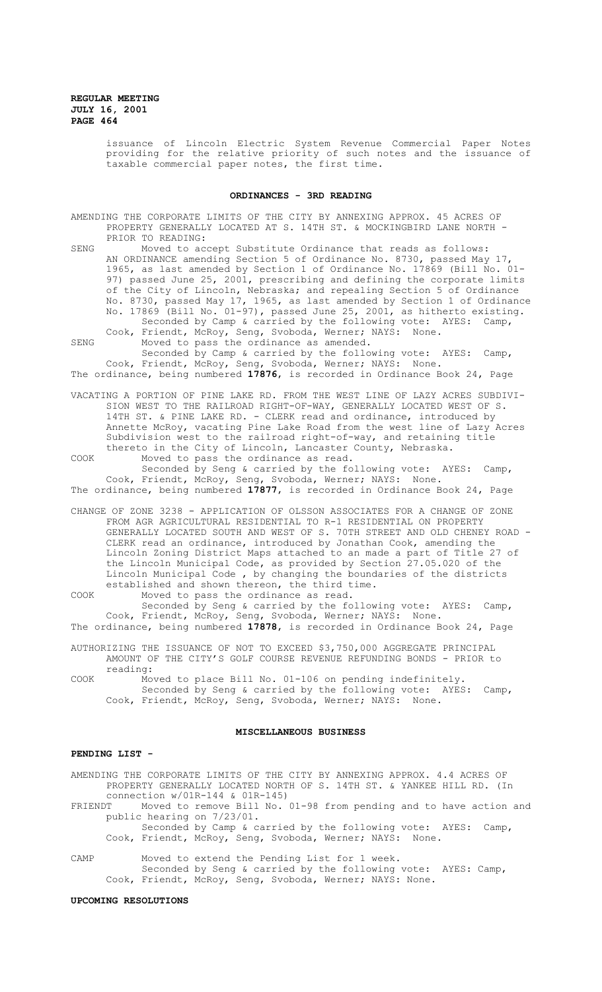issuance of Lincoln Electric System Revenue Commercial Paper Notes providing for the relative priority of such notes and the issuance of taxable commercial paper notes, the first time.

### **ORDINANCES - 3RD READING**

AMENDING THE CORPORATE LIMITS OF THE CITY BY ANNEXING APPROX. 45 ACRES OF PROPERTY GENERALLY LOCATED AT S. 14TH ST. & MOCKINGBIRD LANE NORTH -PRIOR TO READING:

SENG Moved to accept Substitute Ordinance that reads as follows: AN ORDINANCE amending Section 5 of Ordinance No. 8730, passed May 17, 1965, as last amended by Section 1 of Ordinance No. 17869 (Bill No. 01- 97) passed June 25, 2001, prescribing and defining the corporate limits of the City of Lincoln, Nebraska; and repealing Section 5 of Ordinance No. 8730, passed May 17, 1965, as last amended by Section 1 of Ordinance No. 17869 (Bill No. 01-97), passed June 25, 2001, as hitherto existing. Seconded by Camp & carried by the following vote: AYES: Camp,

Cook, Friendt, McRoy, Seng, Svoboda, Werner; NAYS: None. SENG Moved to pass the ordinance as amended. Seconded by Camp & carried by the following vote: AYES: Camp, Cook, Friendt, McRoy, Seng, Svoboda, Werner; NAYS: None.

The ordinance, being numbered **17876**, is recorded in Ordinance Book 24, Page

VACATING A PORTION OF PINE LAKE RD. FROM THE WEST LINE OF LAZY ACRES SUBDIVI-SION WEST TO THE RAILROAD RIGHT-OF-WAY, GENERALLY LOCATED WEST OF S. 14TH ST. & PINE LAKE RD. - CLERK read and ordinance, introduced by Annette McRoy, vacating Pine Lake Road from the west line of Lazy Acres Subdivision west to the railroad right-of-way, and retaining title thereto in the City of Lincoln, Lancaster County, Nebraska.

COOK Moved to pass the ordinance as read. Seconded by Seng & carried by the following vote: AYES: Camp, Cook, Friendt, McRoy, Seng, Svoboda, Werner; NAYS: None.

The ordinance, being numbered **17877**, is recorded in Ordinance Book 24, Page

CHANGE OF ZONE 3238 - APPLICATION OF OLSSON ASSOCIATES FOR A CHANGE OF ZONE FROM AGR AGRICULTURAL RESIDENTIAL TO R-1 RESIDENTIAL ON PROPERTY GENERALLY LOCATED SOUTH AND WEST OF S. 70TH STREET AND OLD CHENEY ROAD - CLERK read an ordinance, introduced by Jonathan Cook, amending the Lincoln Zoning District Maps attached to an made a part of Title 27 of the Lincoln Municipal Code, as provided by Section 27.05.020 of the Lincoln Municipal Code , by changing the boundaries of the districts established and shown thereon, the third time.

COOK Moved to pass the ordinance as read. Seconded by Seng & carried by the following vote: AYES: Camp, Cook, Friendt, McRoy, Seng, Svoboda, Werner; NAYS: None.

The ordinance, being numbered **17878**, is recorded in Ordinance Book 24, Page

AUTHORIZING THE ISSUANCE OF NOT TO EXCEED \$3,750,000 AGGREGATE PRINCIPAL AMOUNT OF THE CITY'S GOLF COURSE REVENUE REFUNDING BONDS - PRIOR to reading:

COOK Moved to place Bill No. 01-106 on pending indefinitely. Seconded by Seng & carried by the following vote: AYES: Camp, Cook, Friendt, McRoy, Seng, Svoboda, Werner; NAYS: None.

### **MISCELLANEOUS BUSINESS**

## **PENDING LIST -**

AMENDING THE CORPORATE LIMITS OF THE CITY BY ANNEXING APPROX. 4.4 ACRES OF PROPERTY GENERALLY LOCATED NORTH OF S. 14TH ST. & YANKEE HILL RD. (In connection w/01R-144 & 01R-145)

FRIENDT Moved to remove Bill No. 01-98 from pending and to have action and public hearing on 7/23/01.

Seconded by Camp & carried by the following vote: AYES: Camp, Cook, Friendt, McRoy, Seng, Svoboda, Werner; NAYS: None.

CAMP Moved to extend the Pending List for 1 week. Seconded by Seng & carried by the following vote: AYES: Camp, Cook, Friendt, McRoy, Seng, Svoboda, Werner; NAYS: None.

#### **UPCOMING RESOLUTIONS**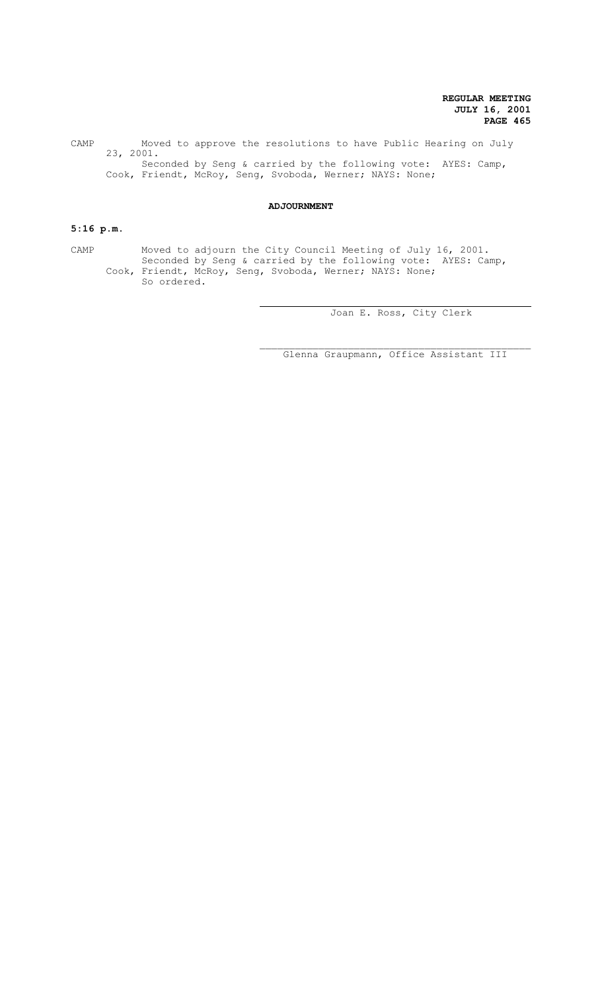CAMP Moved to approve the resolutions to have Public Hearing on July 23, 2001. Seconded by Seng & carried by the following vote: AYES: Camp, Cook, Friendt, McRoy, Seng, Svoboda, Werner; NAYS: None;

### **ADJOURNMENT**

## **5:16 p.m.**

CAMP Moved to adjourn the City Council Meeting of July 16, 2001. Seconded by Seng & carried by the following vote: AYES: Camp, Cook, Friendt, McRoy, Seng, Svoboda, Werner; NAYS: None; So ordered.

ц.

Joan E. Ross, City Clerk

 $\mathcal{L}_\text{max}$  and the contract of the contract of the contract of the contract of the contract of the contract of the contract of the contract of the contract of the contract of the contract of the contract of the contrac Glenna Graupmann, Office Assistant III